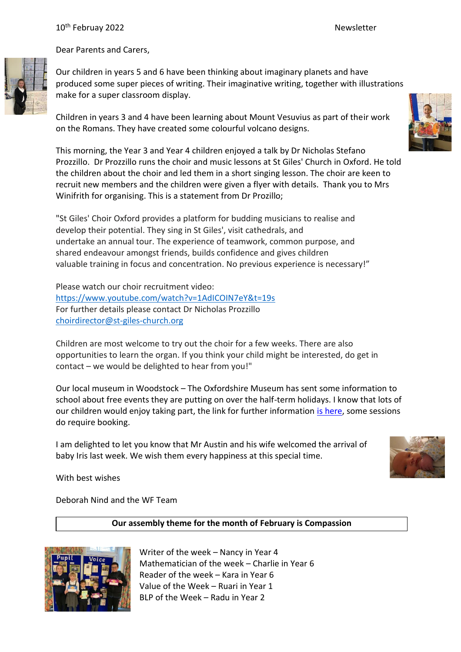## 10<sup>th</sup> Februay 2022 **Newsletter** Newsletter



Dear Parents and Carers,

Our children in years 5 and 6 have been thinking about imaginary planets and have produced some super pieces of writing. Their imaginative writing, together with illustrations make for a super classroom display.

Children in years 3 and 4 have been learning about Mount Vesuvius as part of their work on the Romans. They have created some colourful volcano designs.

This morning, the Year 3 and Year 4 children enjoyed a talk by Dr Nicholas Stefano Prozzillo. Dr Prozzillo runs the choir and music lessons at St Giles' Church in Oxford. He told the children about the choir and led them in a short singing lesson. The choir are keen to recruit new members and the children were given a flyer with details. Thank you to Mrs Winifrith for organising. This is a statement from Dr Prozillo;

"St Giles' Choir Oxford provides a platform for budding musicians to realise and develop their potential. They sing in St Giles', visit cathedrals, and undertake an annual tour. The experience of teamwork, common purpose, and shared endeavour amongst friends, builds confidence and gives children valuable training in focus and concentration. No previous experience is necessary!"

Please watch our choir recruitment video: <https://www.youtube.com/watch?v=1AdICOIN7eY&t=19s> For further details please contact Dr Nicholas Prozzillo [choirdirector@st-giles-church.org](mailto:choirdirector@st-giles-church.org)

Children are most welcome to try out the choir for a few weeks. There are also opportunities to learn the organ. If you think your child might be interested, do get in contact – we would be delighted to hear from you!"

Our local museum in Woodstock – The Oxfordshire Museum has sent some information to school about free events they are putting on over the half-term holidays. I know that lots of our children would enjoy taking part, the link for further information [is here,](https://www.oxfordshire.gov.uk/residents/leisure-and-culture/museums/oxfordshire-museum/whats-oxfordshire-museum/childrens-activities) some sessions do require booking.

I am delighted to let you know that Mr Austin and his wife welcomed the arrival of baby Iris last week. We wish them every happiness at this special time.



With best wishes

Deborah Nind and the WF Team

# **Our assembly theme for the month of February is Compassion**



Writer of the week – Nancy in Year 4 Mathematician of the week – Charlie in Year 6 Reader of the week – Kara in Year 6 Value of the Week – Ruari in Year 1 BLP of the Week – Radu in Year 2

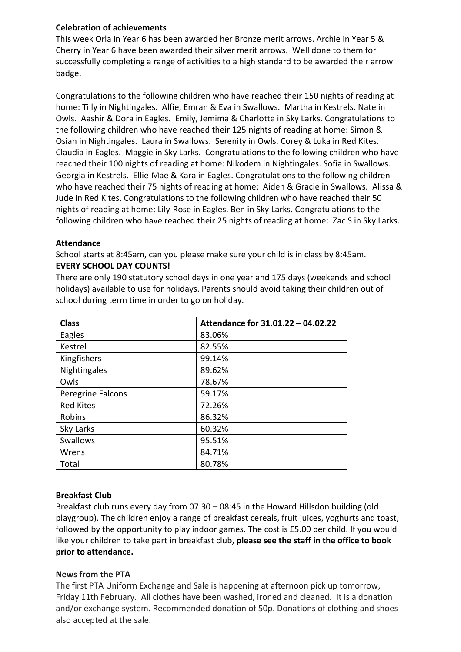# **Celebration of achievements**

This week Orla in Year 6 has been awarded her Bronze merit arrows. Archie in Year 5 & Cherry in Year 6 have been awarded their silver merit arrows. Well done to them for successfully completing a range of activities to a high standard to be awarded their arrow badge.

Congratulations to the following children who have reached their 150 nights of reading at home: Tilly in Nightingales. Alfie, Emran & Eva in Swallows. Martha in Kestrels. Nate in Owls. Aashir & Dora in Eagles. Emily, Jemima & Charlotte in Sky Larks. Congratulations to the following children who have reached their 125 nights of reading at home: Simon & Osian in Nightingales. Laura in Swallows. Serenity in Owls. Corey & Luka in Red Kites. Claudia in Eagles. Maggie in Sky Larks. Congratulations to the following children who have reached their 100 nights of reading at home: Nikodem in Nightingales. Sofia in Swallows. Georgia in Kestrels. Ellie-Mae & Kara in Eagles. Congratulations to the following children who have reached their 75 nights of reading at home: Aiden & Gracie in Swallows. Alissa & Jude in Red Kites. Congratulations to the following children who have reached their 50 nights of reading at home: Lily-Rose in Eagles. Ben in Sky Larks. Congratulations to the following children who have reached their 25 nights of reading at home: Zac S in Sky Larks.

#### **Attendance**

School starts at 8:45am, can you please make sure your child is in class by 8:45am. **EVERY SCHOOL DAY COUNTS!**

There are only 190 statutory school days in one year and 175 days (weekends and school holidays) available to use for holidays. Parents should avoid taking their children out of school during term time in order to go on holiday.

| <b>Class</b>      | Attendance for 31.01.22 - 04.02.22 |
|-------------------|------------------------------------|
| Eagles            | 83.06%                             |
| Kestrel           | 82.55%                             |
| Kingfishers       | 99.14%                             |
| Nightingales      | 89.62%                             |
| Owls              | 78.67%                             |
| Peregrine Falcons | 59.17%                             |
| <b>Red Kites</b>  | 72.26%                             |
| Robins            | 86.32%                             |
| Sky Larks         | 60.32%                             |
| <b>Swallows</b>   | 95.51%                             |
| Wrens             | 84.71%                             |
| Total             | 80.78%                             |

# **Breakfast Club**

Breakfast club runs every day from 07:30 – 08:45 in the Howard Hillsdon building (old playgroup). The children enjoy a range of breakfast cereals, fruit juices, yoghurts and toast, followed by the opportunity to play indoor games. The cost is £5.00 per child. If you would like your children to take part in breakfast club, **please see the staff in the office to book prior to attendance.**

# **News from the PTA**

The first PTA Uniform Exchange and Sale is happening at afternoon pick up tomorrow, Friday 11th February. All clothes have been washed, ironed and cleaned. It is a donation and/or exchange system. Recommended donation of 50p. Donations of clothing and shoes also accepted at the sale.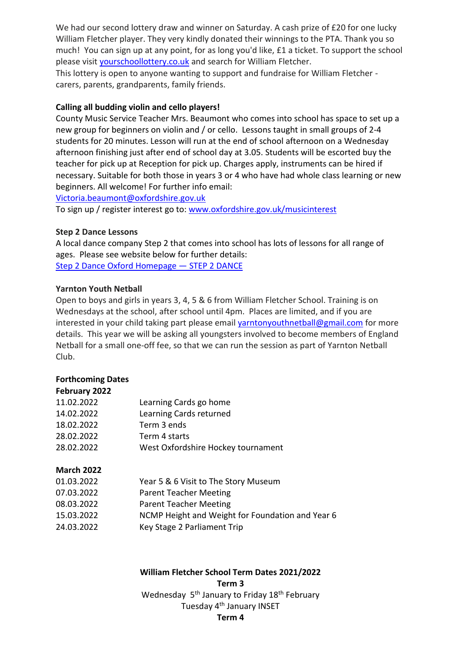We had our second lottery draw and winner on Saturday. A cash prize of £20 for one lucky William Fletcher player. They very kindly donated their winnings to the PTA. Thank you so much! You can sign up at any point, for as long you'd like, £1 a ticket. To support the school please visit [yourschoollottery.co.uk](http://yourschoollottery.co.uk/) and search for William Fletcher.

This lottery is open to anyone wanting to support and fundraise for William Fletcher carers, parents, grandparents, family friends.

## **Calling all budding violin and cello players!**

County Music Service Teacher Mrs. Beaumont who comes into school has space to set up a new group for beginners on violin and / or cello. Lessons taught in small groups of 2-4 students for 20 minutes. Lesson will run at the end of school afternoon on a Wednesday afternoon finishing just after end of school day at 3.05. Students will be escorted buy the teacher for pick up at Reception for pick up. Charges apply, instruments can be hired if necessary. Suitable for both those in years 3 or 4 who have had whole class learning or new beginners. All welcome! For further info email:

[Victoria.beaumont@oxfordshire.gov.uk](mailto:Victoria.beaumont@oxfordshire.gov.uk)

To sign up / register interest go to: [www.oxfordshire.gov.uk/musicinterest](http://www.oxfordshire.gov.uk/musicinterest)

## **Step 2 Dance Lessons**

A local dance company Step 2 that comes into school has lots of lessons for all range of ages. Please see website below for further details: [Step 2 Dance Oxford Homepage](https://www.step2dance.co.uk/home) — STEP 2 DANCE

## **Yarnton Youth Netball**

Open to boys and girls in years 3, 4, 5 & 6 from William Fletcher School. Training is on Wednesdays at the school, after school until 4pm. Places are limited, and if you are interested in your child taking part please email [yarntonyouthnetball@gmail.com](mailto:yarntonyouthnetball@gmail.com) for more details. This year we will be asking all youngsters involved to become members of England Netball for a small one-off fee, so that we can run the session as part of Yarnton Netball Club.

# **Forthcoming Dates**

| February 2022     |                                                  |
|-------------------|--------------------------------------------------|
| 11.02.2022        | Learning Cards go home                           |
| 14.02.2022        | Learning Cards returned                          |
| 18.02.2022        | Term 3 ends                                      |
| 28.02.2022        | Term 4 starts                                    |
| 28.02.2022        | West Oxfordshire Hockey tournament               |
| <b>March 2022</b> |                                                  |
| 01.03.2022        | Year 5 & 6 Visit to The Story Museum             |
| 07.03.2022        | <b>Parent Teacher Meeting</b>                    |
| 08.03.2022        | <b>Parent Teacher Meeting</b>                    |
| 15.03.2022        | NCMP Height and Weight for Foundation and Year 6 |
|                   |                                                  |

24.03.2022 Key Stage 2 Parliament Trip

# **William Fletcher School Term Dates 2021/2022 Term 3**

Wednesday 5<sup>th</sup> January to Friday 18<sup>th</sup> February Tuesday 4th January INSET

# **Term 4**